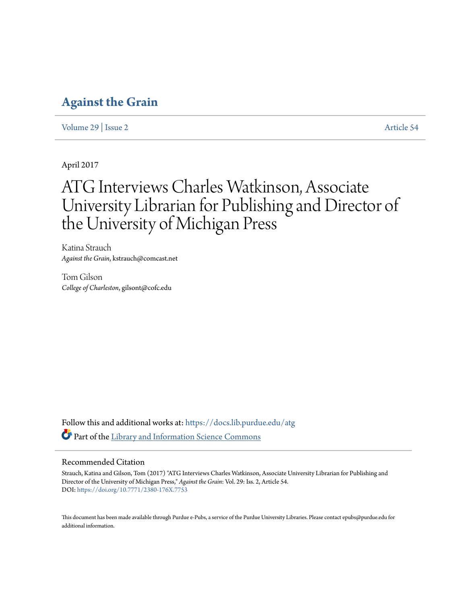# **[Against the Grain](https://docs.lib.purdue.edu/atg?utm_source=docs.lib.purdue.edu%2Fatg%2Fvol29%2Fiss2%2F54&utm_medium=PDF&utm_campaign=PDFCoverPages)**

[Volume 29](https://docs.lib.purdue.edu/atg/vol29?utm_source=docs.lib.purdue.edu%2Fatg%2Fvol29%2Fiss2%2F54&utm_medium=PDF&utm_campaign=PDFCoverPages) | [Issue 2](https://docs.lib.purdue.edu/atg/vol29/iss2?utm_source=docs.lib.purdue.edu%2Fatg%2Fvol29%2Fiss2%2F54&utm_medium=PDF&utm_campaign=PDFCoverPages) [Article 54](https://docs.lib.purdue.edu/atg/vol29/iss2/54?utm_source=docs.lib.purdue.edu%2Fatg%2Fvol29%2Fiss2%2F54&utm_medium=PDF&utm_campaign=PDFCoverPages)

April 2017

# ATG Interviews Charles Watkinson, Associate University Librarian for Publishing and Director of the University of Michigan Press

Katina Strauch *Against the Grain*, kstrauch@comcast.net

Tom Gilson *College of Charleston*, gilsont@cofc.edu

Follow this and additional works at: [https://docs.lib.purdue.edu/atg](https://docs.lib.purdue.edu/atg?utm_source=docs.lib.purdue.edu%2Fatg%2Fvol29%2Fiss2%2F54&utm_medium=PDF&utm_campaign=PDFCoverPages) Part of the [Library and Information Science Commons](http://network.bepress.com/hgg/discipline/1018?utm_source=docs.lib.purdue.edu%2Fatg%2Fvol29%2Fiss2%2F54&utm_medium=PDF&utm_campaign=PDFCoverPages)

## Recommended Citation

Strauch, Katina and Gilson, Tom (2017) "ATG Interviews Charles Watkinson, Associate University Librarian for Publishing and Director of the University of Michigan Press," *Against the Grain*: Vol. 29: Iss. 2, Article 54. DOI: <https://doi.org/10.7771/2380-176X.7753>

This document has been made available through Purdue e-Pubs, a service of the Purdue University Libraries. Please contact epubs@purdue.edu for additional information.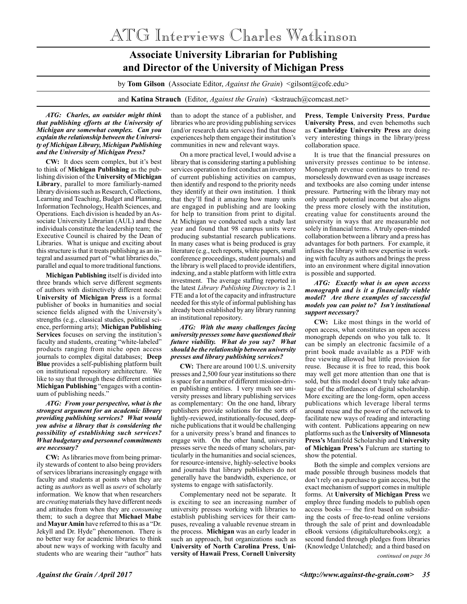ATG Interviews Charles Watkinson

# **Associate University Librarian for Publishing and Director of the University of Michigan Press**

by **Tom Gilson** (Associate Editor, *Against the Grain*) <gilsont@cofc.edu>

and **Katina Strauch** (Editor, *Against the Grain*) <kstrauch@comcast.net>

#### *ATG: Charles, an outsider might think that publishing efforts at the University of Michigan are somewhat complex. Can you explain the relationship between the University of Michigan Library, Michigan Publishing and the University of Michigan Press?*

**CW:** It does seem complex, but it's best to think of **Michigan Publishing** as the publishing division of the **University of Michigan Library**, parallel to more familiarly-named library divisions such as Research, Collections, Learning and Teaching, Budget and Planning, Information Technology, Health Sciences, and Operations. Each division is headed by an Associate University Librarian (AUL) and these individuals constitute the leadership team; the Executive Council is chaired by the Dean of Libraries. What is unique and exciting about this structure is that it treats publishing as an integral and assumed part of "what libraries do," parallel and equal to more traditional functions.

**Michigan Publishing** itself is divided into three brands which serve different segments of authors with distinctively different needs: **University of Michigan Press** is a formal publisher of books in humanities and social science fields aligned with the University's strengths (e.g., classical studies, political science, performing arts); **Michigan Publishing Services** focuses on serving the institution's faculty and students, creating "white-labeled" products ranging from niche open access journals to complex digital databases; **Deep Blue** provides a self-publishing platform built on institutional repository architecture. We like to say that through these different entities **Michigan Publishing** "engages with a continuum of publishing needs."

#### *ATG: From your perspective, what is the strongest argument for an academic library providing publishing services? What would you advise a library that is considering the possibility of establishing such services? What budgetary and personnel commitments are necessary?*

**CW:** As libraries move from being primarily stewards of content to also being providers of services librarians increasingly engage with faculty and students at points when they are acting as *authors* as well as *users* of scholarly information. We know that when researchers are *creating* materials they have different needs and attitudes from when they are *consuming* them; to such a degree that **Michael Mabe**  and **Mayur Amin** have referred to this as a "Dr. Jekyll and Dr. Hyde" phenomenon. There is no better way for academic libraries to think about new ways of working with faculty and students who are wearing their "author" hats than to adopt the stance of a publisher, and libraries who are providing publishing services (and/or research data services) find that those experiences help them engage their institution's communities in new and relevant ways.

On a more practical level, I would advise a library that is considering starting a publishing services operation to first conduct an inventory of current publishing activities on campus, then identify and respond to the priority needs they identify at their own institution. I think that they'll find it amazing how many units are engaged in publishing and are looking for help to transition from print to digital. At Michigan we conducted such a study last year and found that 98 campus units were producing substantial research publications. In many cases what is being produced is gray literature (e.g., tech reports, white papers, small conference proceedings, student journals) and the library is well placed to provide identifiers, indexing, and a stable platform with little extra investment. The average staffing reported in the latest *Library Publishing Directory* is 2.1 FTE and a lot of the capacity and infrastructure needed for this style of informal publishing has already been established by any library running an institutional repository.

#### *ATG: With the many challenges facing university presses some have questioned their future viability. What do you say? What should be the relationship between university presses and library publishing services?*

**CW:** There are around 100 U.S. university presses and 2,500 four year institutions so there is space for a number of different mission-driven publishing entities. I very much see university presses and library publishing services as complementary: On the one hand, library publishers provide solutions for the sorts of lightly-reviewed, institutionally-focused, deepniche publications that it would be challenging for a university press's brand and finances to engage with. On the other hand, university presses serve the needs of many scholars, particularly in the humanities and social sciences, for resource-intensive, highly-selective books and journals that library publishers do not generally have the bandwidth, experience, or systems to engage with satisfactorily.

Complementary need not be separate. It is exciting to see an increasing number of university presses working with libraries to establish publishing services for their campuses, revealing a valuable revenue stream in the process. **Michigan** was an early leader in such an approach, but organizations such as **University of North Carolina Press**, **University of Hawaii Press**, **Cornell University** 

**Press**, **Temple University Press**, **Purdue University Press**, and even behemoths such as **Cambridge University Press** are doing very interesting things in the library/press collaboration space.

It is true that the financial pressures on university presses continue to be intense. Monograph revenue continues to trend remorselessly downward even as usage increases and textbooks are also coming under intense pressure. Partnering with the library may not only unearth potential income but also aligns the press more closely with the institution, creating value for constituents around the university in ways that are measurable not solely in financial terms. A truly open-minded collaboration between a library and a press has advantages for both partners. For example, it infuses the library with new expertise in working with faculty as authors and brings the press into an environment where digital innovation is possible and supported.

#### *ATG: Exactly what is an open access monograph and is it a financially viable model? Are there examples of successful models you can point to? Isn't institutional support necessary?*

**CW:** Like most things in the world of open access, what constitutes an open access monograph depends on who you talk to. It can be simply an electronic facsimile of a print book made available as a PDF with free viewing allowed but little provision for reuse. Because it is free to read, this book may well get more attention than one that is sold, but this model doesn't truly take advantage of the affordances of digital scholarship. More exciting are the long-form, open access publications which leverage liberal terms around reuse and the power of the network to facilitate new ways of reading and interacting with content. Publications appearing on new platforms such as the **University of Minnesota Press's** Manifold Scholarship and **University of Michigan Press's** Fulcrum are starting to show the potential.

Both the simple and complex versions are made possible through business models that don't rely on a purchase to gain access, but the exact mechanism of support comes in multiple forms. At **University of Michigan Press** we employ three funding models to publish open access books — the first based on subsidizing the costs of free-to-read online versions through the sale of print and downloadable eBook versions (digitalculturebooks.org); a second funded through pledges from libraries (Knowledge Unlatched); and a third based on

*continued on page 36*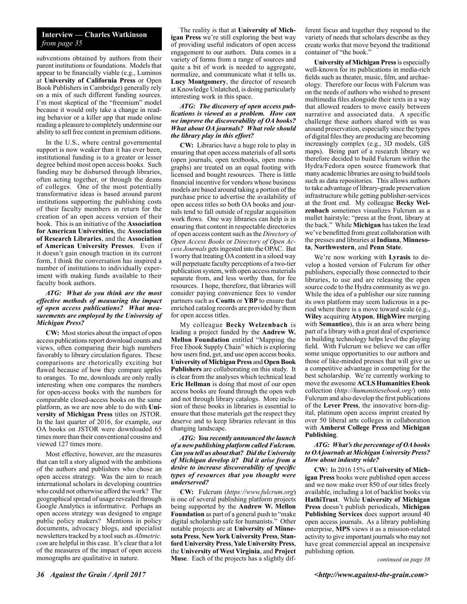### **Interview — Charles Watkinson** *from page 35*

subventions obtained by authors from their parent institutions or foundations. Models that appear to be financially viable (e.g., Luminos at **University of California Press** or Open Book Publishers in Cambridge) generally rely on a mix of such different funding sources. I'm most skeptical of the "freemium" model because it would only take a change in reading behavior or a killer app that made online reading a pleasure to completely undermine our ability to sell free content in premium editions.

In the U.S., where central governmental support is now weaker than it has ever been, institutional funding is to a greater or lesser degree behind most open access books. Such funding may be disbursed through libraries, often acting together, or through the deans of colleges. One of the most potentially transformative ideas is based around parent institutions supporting the publishing costs of their faculty members in return for the creation of an open access version of their book. This is an initiative of the **Association for American Universities**, the **Association of Research Libraries**, and the **Association of American University Presses**. Even if it doesn't gain enough traction in its current form, I think the conversation has inspired a number of institutions to individually experiment with making funds available to their faculty book authors.

#### *ATG: What do you think are the most effective methods of measuring the impact of open access publications? What measurements are employed by the University of Michigan Press?*

**CW:** Most stories about the impact of open access publications report download counts and views, often comparing their high numbers favorably to library circulation figures. These comparisons are rhetorically exciting but flawed because of how they compare apples to oranges. To me, downloads are only really interesting when one compares the numbers for open-access books with the numbers for comparable closed-access books on the same platform, as we are now able to do with **University of Michigan Press** titles on JSTOR. In the last quarter of 2016, for example, our OA books on JSTOR were downloaded 65 times more than their conventional cousins and viewed 127 times more.

Most effective, however, are the measures that can tell a story aligned with the ambitions of the authors and publishers who chose an open access strategy. Was the aim to reach international scholars in developing countries who could not otherwise afford the work? The geographical spread of usage revealed through Google Analytics is informative. Perhaps an open access strategy was designed to engage public policy makers? Mentions in policy documents, advocacy blogs, and specialist newsletters tracked by a tool such as *Altmetric. com* are helpful in this case. It's clear that a lot of the measures of the impact of open access monographs are qualitative in nature.

The reality is that at **University of Michigan Press** we're still exploring the best way of providing useful indicators of open access engagement to our authors. Data comes in a variety of forms from a range of sources and quite a bit of work is needed to aggregate, normalize, and communicate what it tells us. **Lucy Montgomery**, the director of research at Knowledge Unlatched, is doing particularly interesting work in this space.

#### *ATG: The discovery of open access publications is viewed as a problem. How can we improve the discoverability of OA books? What about OA journals? What role should the library play in this effort?*

**CW:** Libraries have a huge role to play in ensuring that open access materials of all sorts (open journals, open textbooks, open monographs) are treated on an equal footing with licensed and bought resources. There is little financial incentive for vendors whose business models are based around taking a portion of the purchase price to advertise the availability of open access titles so both OA books and journals tend to fall outside of regular acquisition work flows. One way libraries can help is in ensuring that content in respectable directories of open access content such as the *Directory of Open Access Books* or *Directory of Open Access Journals* gets ingested into the OPAC. But I worry that treating OA content in a siloed way will perpetuate faculty perceptions of a two-tier publication system, with open access materials separate from, and less worthy than, for fee resources. I hope, therefore, that libraries will consider paying convenience fees to vendor partners such as **Coutts** or **YBP** to ensure that enriched catalog records are provided by them for open access titles.

My colleague **Becky Welzenbach** is leading a project funded by the **Andrew W. Mellon Foundation** entitled "Mapping the Free Ebook Supply Chain" which is exploring how users find, get, and use open access books. **University of Michigan Press** and **Open Book Publishers** are collaborating on this study. It is clear from the analyses which technical lead **Eric Hellman** is doing that most of our open access books are found through the open web and not through library catalogs. More inclusion of these books in libraries is essential to ensure that these materials get the respect they deserve and to keep libraries relevant in this changing landscape.

#### *ATG: You recently announced the launch of a new publishing platform called Fulcrum. Can you tell us about that? Did the University of Michigan develop it? Did it arise from a desire to increase discoverability of specific types of resources that you thought were underserved?*

**CW:** Fulcrum (*https://www.fulcrum.org*) is one of several publishing platform projects being supported by the **Andrew W. Mellon Foundation** as part of a general push to "make digital scholarship safe for humanists." Other notable projects are at **University of Minnesota Press**, **New York University Press**, **Stanford University Press**, **Yale University Press**, the **University of West Virginia**, and **Project Muse**. Each of the projects has a slightly different focus and together they respond to the variety of needs that scholars describe as they create works that move beyond the traditional container of "the book."

**University of Michigan Press** is especially well-known for its publications in media-rich fields such as theater, music, film, and archaeology. Therefore our focus with Fulcrum was on the needs of authors who wished to present multimedia files alongside their texts in a way that allowed readers to move easily between narrative and associated data. A specific challenge these authors shared with us was around preservation, especially since the types of digital files they are producing are becoming increasingly complex (e.g., 3D models, GIS maps). Being part of a research library we therefore decided to build Fulcrum within the Hydra/Fedora open source framework that many academic libraries are using to build tools such as data repositories. This allows authors to take advantage of library-grade preservation infrastructure while getting publisher-services at the front end. My colleague **Becky Welzenbach** sometimes visualizes Fulcrum as a mullet hairstyle: "press at the front, library at the back." While **Michigan** has taken the lead we've benefitted from great collaboration with the presses and libraries at **Indiana**, **Minnesota**, **Northwestern**, and **Penn State**.

We're now working with **Lyrasis** to develop a hosted version of Fulcrum for other publishers, especially those connected to their libraries, to use and are releasing the open source code to the Hydra community as we go. While the idea of a publisher our size running its own platform may seem ludicrous in a period where there is a move toward scale (e.g., **Wiley** acquiring **Atypon**, **HighWire** merging with **Semantico**), this is an area where being part of a library with a great deal of experience in building technology helps level the playing field. With Fulcrum we believe we can offer some unique opportunities to our authors and those of like-minded presses that will give us a competitive advantage in competing for the best scholarship. We're currently working to move the awesome **ACLS Humanities Ebook**  collection (*http://humanitiesebook.org/*) onto Fulcrum and also develop the first publications of the **Lever Press**, the innovative born-digital, platinum open access imprint created by over 50 liberal arts colleges in collaboration with **Amherst College Press** and **Michigan Publishing**.

#### *ATG: What's the percentage of OA books to OA journals at Michigan University Press? How about industry wide?*

**CW:** In 2016 15% of **University of Michigan Press** books were published open access and we now make over 850 of our titles freely available, including a lot of backlist books via **HathiTrust**. While **University of Michigan Press** doesn't publish periodicals, **Michigan Publishing Services** does support around 40 open access journals. As a library publishing enterprise, **MPS** views it as a mission-related activity to give important journals who may not have great commercial appeal an inexpensive publishing option.

*continued on page 38*